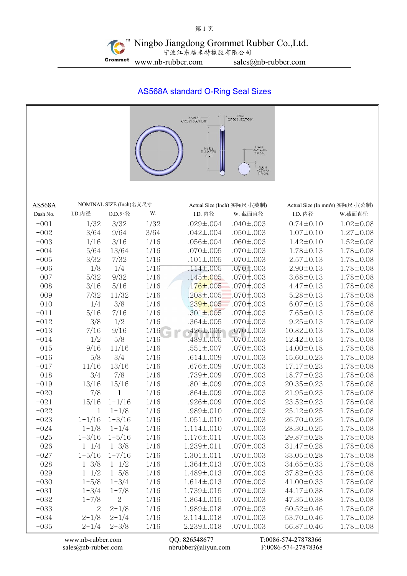# AS568A standard O-Ring Seal Sizes



[www.nb-rubber.com](http://www.nb-rubber.com) QQ: 826548677 T:0086-574-27878366 [sales@nb-rubber.com](mailto:sales@nb-rubber.com) [nbrubber@aliyun.com](mailto:nbrubber@gmail.com) F:0086-574-27878368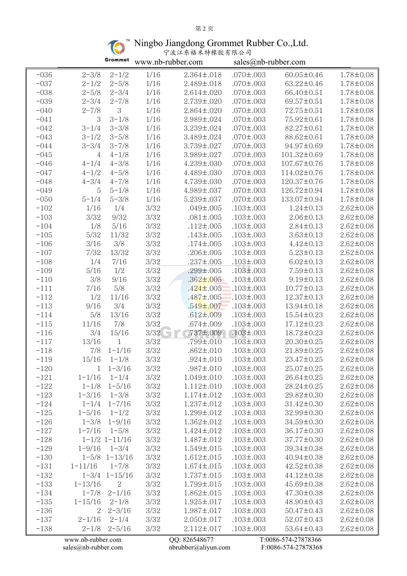# 第 2 页

Ningbo Jiangdong Grommet Rubber Co.,Ltd.

|  | 宁波江东格米特橡胶有限公司 |  |
|--|---------------|--|
|--|---------------|--|

|        |                   | Grommet               | www.nb-rubber.com |                   | sales@nb-rubber.com |                     |                 |  |
|--------|-------------------|-----------------------|-------------------|-------------------|---------------------|---------------------|-----------------|--|
| $-036$ | $2 - 3/8$         | $2 - 1/2$             | 1/16              | $2.364 \pm .018$  | $.070 \pm .003$     | 60.05±0.46          | 1.78±0.08       |  |
| $-037$ | $2 - 1/2$         | $2 - 5/8$             | 1/16              | $2.489 \pm .018$  | $.070 \pm .003$     | 63.22±0.46          | 1.78±0.08       |  |
| $-038$ | $2 - 5/8$         | $2 - 3/4$             | 1/16              | $2.614 \pm .020$  | $.070 \pm .003$     | 66.40±0.51          | $1.78 \pm 0.08$ |  |
| $-039$ | $2 - 3/4$         | $2 - 7/8$             | 1/16              | $2.739 \pm 0.020$ | $.070 \pm .003$     | 69.57±0.51          | 1.78±0.08       |  |
| $-040$ | $2 - 7/8$         | 3                     | 1/16              | $2.864 \pm 0.020$ | $.070 \pm .003$     | 72.75±0.51          | $1.78 \pm 0.08$ |  |
| $-041$ | 3                 | $3 - 1/8$             | 1/16              | $2.989 \pm 0.024$ | $.070 \pm .003$     | 75.92±0.61          | $1.78 \pm 0.08$ |  |
| $-042$ | $3 - 1/4$         | $3 - 3/8$             | 1/16              | 3.239±.024        | $.070 \pm .003$     | $82.27 \pm 0.61$    | $1.78 \pm 0.08$ |  |
| $-043$ | $3 - 1/2$         | $3 - 5/8$             | 1/16              | 3.489±.024        | $.070 \pm .003$     | 88.62±0.61          | 1.78±0.08       |  |
| $-044$ | $3 - 3/4$         | $3 - 7/8$             | 1/16              | $3.739 \pm .027$  | $.070 \pm .003$     | 94.97±0.69          | 1.78±0.08       |  |
| $-045$ | $\overline{4}$    | $4 - 1/8$             | 1/16              | 3.989±.027        | $.070 \pm .003$     | 101.32±0.69         | 1.78±0.08       |  |
| $-046$ | $4 - 1/4$         | $4 - 3/8$             | 1/16              | $4.239 \pm .030$  | $.070 \pm .003$     | 107.67±0.76         | 1.78±0.08       |  |
| $-047$ | $4 - 1/2$         | $4 - 5/8$             | 1/16              | 4.489±.030        | $.070 \pm .003$     | 114.02±0.76         | $1.78 \pm 0.08$ |  |
| $-048$ | $4 - 3/4$         | $4 - 7/8$             | 1/16              | 4.739±.030        | $.070 \pm .003$     | 120.37±0.76         | 1.78±0.08       |  |
| $-049$ | 5                 | $5 - 1/8$             | 1/16              | 4.989±.037        | $.070 \pm .003$     | 126.72±0.94         | $1.78 \pm 0.08$ |  |
| $-050$ | $5 - 1/4$         | $5 - 3/8$             | 1/16              | $5.239 \pm .037$  | $.070 \pm .003$     | 133.07±0.94         | $1.78 \pm 0.08$ |  |
| $-102$ | 1/16              | 1/4                   | 3/32              | $.049 \pm .005$   | $.103 \pm .003$     | $1.24 \pm 0.13$     | $2.62 \pm 0.08$ |  |
| $-103$ | 3/32              | 9/32                  | 3/32              | $.081 \pm .005$   | $.103 \pm .003$     | $2.06 \pm 0.13$     | $2.62 \pm 0.08$ |  |
| $-104$ | 1/8               | 5/16                  | 3/32              | $.112 \pm .005$   | $.103 \pm .003$     | $2.84 \pm 0.13$     | $2.62 \pm 0.08$ |  |
| $-105$ | 5/32              | 11/32                 | 3/32              | $.143 \pm .005$   | $.103 \pm .003$     | $3.63 \pm 0.13$     | $2.62 \pm 0.08$ |  |
| $-106$ | 3/16              | 3/8                   | 3/32              | $.174 \pm .005$   | $.103 \pm .003$     | $4.42 \pm 0.13$     | $2.62 \pm 0.08$ |  |
| $-107$ | 7/32              | 13/32                 | 3/32              | $.206 \pm .005$   | $.103 \pm .003$     | $5.23 \pm 0.13$     | $2.62 \pm 0.08$ |  |
| $-108$ | 1/4               | 7/16                  | 3/32              | $.237 \pm .005$   | $.103 \pm .003$     | $6.02 \pm 0.13$     | $2.62 \pm 0.08$ |  |
| $-109$ | 5/16              | 1/2                   | 3/32              | .299±.005         | $.103 \pm .003$     | $7.59 \pm 0.13$     | $2.62 \pm 0.08$ |  |
| $-110$ | 3/8               | 9/16                  | 3/32              | $.362 \pm .005$   | $.103 \pm .003$     | $9.19 \pm 0.13$     | $2.62 \pm 0.08$ |  |
| $-111$ | 7/16              | 5/8                   | 3/32              | $.424 \pm .005$   | $.103 \pm .003$     | $10.77 \pm 0.13$    | $2.62 \pm 0.08$ |  |
| $-112$ | 1/2               | 11/16                 | 3/32              | $.487 \pm .005$   | $.103 \pm .003$     | $12.37 \pm 0.13$    | $2.62 \pm 0.08$ |  |
| $-113$ | 9/16              | 3/4                   | $3/32\,$          | $.549 \pm 007$    | $.103 \pm .003$     | $13.94 \pm 0.18$    | $2.62 \pm 0.08$ |  |
| $-114$ | 5/8               | 13/16                 | 3/32              | $.612 \pm .009$   | $.103 \pm .003$     | $15.54 \pm 0.23$    | $2.62 \pm 0.08$ |  |
| $-115$ | 11/16             | 7/8                   | 3/32              | $.674 \pm .009$   | $.103 \pm .003$     | $17.12 \pm 0.23$    | $2.62 \pm 0.08$ |  |
| $-116$ | 3/4               | 15/16                 | 3/32              | $.737 \pm .009$   | $.103 \pm .003$     | $18.72 \pm 0.23$    | $2.62 \pm 0.08$ |  |
| $-117$ | 13/16             | $\mathbf{1}$          | 3/32              | $.799 \pm .010$   | $.103 \pm .003$     | $20.30 \pm 0.25$    | $2.62 \pm 0.08$ |  |
| $-118$ | 7/8               | $1 - 1/16$            | 3/32              | $.862 \pm .010$   | $.103 \pm .003$     | 21.89±0.25          | $2.62 \pm 0.08$ |  |
| $-119$ | 15/16             | $1 - 1/8$             | 3/32              | $.924 \pm .010$   | $.103 \pm .003$     | 23.47±0.25          | $2.62 \pm 0.08$ |  |
| $-120$ |                   | $1 \t1-3/16$          | 3/32              | $.987 \pm .010$   | $.103 \pm .003$     | $25.07 \pm 0.25$    | $2.62 \pm 0.08$ |  |
| $-121$ | $1 - 1/16$        | $1 - 1/4$             | 3/32              | $1.049 \pm .010$  | $.103 \pm .003$     | 26.64±0.25          | $2.62 \pm 0.08$ |  |
| $-122$ | $1 - 1/8$         | $1 - 5/16$            | 3/32              | $1.112 \pm .010$  | $.103 \pm .003$     | $28.24 \pm 0.25$    | $2.62 \pm 0.08$ |  |
| $-123$ | $1 - 3/16$        | $1 - 3/8$             | 3/32              | $1.174 \pm .012$  | $.103 \pm .003$     | 29.82±0.30          | $2.62 \pm 0.08$ |  |
| $-124$ | $1 - 1/4$         | $1 - 7/16$            | 3/32              | $1.237 \pm .012$  | $.103 \pm .003$     | 31.42±0.30          | $2.62 \pm 0.08$ |  |
| $-125$ | $1 - 5/16$        | $1 - 1/2$             | 3/32              | $1.299 \pm .012$  | $.103 \pm .003$     | 32.99±0.30          | $2.62 \pm 0.08$ |  |
| $-126$ | $1 - 3/8$         | $1 - 9/16$            | 3/32              | $1.362 \pm .012$  | $.103 \pm .003$     | 34.59±0.30          | $2.62 \pm 0.08$ |  |
| $-127$ | $1 - 7/16$        | $1 - 5/8$             | 3/32              | $1.424 \pm .012$  | $.103 \pm .003$     | 36.17±0.30          | $2.62 \pm 0.08$ |  |
| $-128$ |                   | $1 - 1/2$ $1 - 11/16$ | 3/32              | $1.487 \pm .012$  | $.103 \pm .003$     | 37.77±0.30          | $2.62 \pm 0.08$ |  |
| $-129$ | $1 - 9/16$        | $1 - 3/4$             | 3/32              | $1.549 \pm .015$  | $.103 \pm .003$     | 39.34±0.38          | $2.62 \pm 0.08$ |  |
| $-130$ |                   | $1 - 5/8$ $1 - 13/16$ | 3/32              | $1.612 \pm .015$  | $.103 \pm .003$     | $40.94 \pm 0.38$    | $2.62 \pm 0.08$ |  |
| $-131$ | $1 - 11/16$       | $1 - 7/8$             | 3/32              | $1.674 \pm .015$  | $.103 \pm .003$     | $42.52 \pm 0.38$    | $2.62 \pm 0.08$ |  |
| $-132$ |                   | $1 - 3/4$ $1 - 15/16$ | 3/32              | $1.737 \pm .015$  | $.103 \pm .003$     | 44.12±0.38          | $2.62 \pm 0.08$ |  |
| $-133$ | $1 - 13/16$       | 2                     | 3/32              | $1.799 \pm .015$  | $.103 \pm .003$     | $45.69 \pm 0.38$    | $2.62 \pm 0.08$ |  |
| $-134$ | $1 - 7/8$         | $2 - 1/16$            | 3/32              | $1.862 \pm .015$  | $.103 \pm .003$     | $47.30 \pm 0.38$    | $2.62 \pm 0.08$ |  |
| $-135$ | $1 - 15/16$       | $2 - 1/8$             | 3/32              | $1.925 \pm .017$  | $.103 \pm .003$     | 48.90±0.43          | $2.62 \pm 0.08$ |  |
| $-136$ | 2                 | $2 - 3/16$            | 3/32              | $1.987 \pm .017$  | $.103 \pm .003$     | $50.47 \pm 0.43$    | $2.62 \pm 0.08$ |  |
| $-137$ | $2 - 1/16$        | $2 - 1/4$             | 3/32              | $2.050 \pm .017$  | $.103 \pm .003$     | $52.07 \pm 0.43$    | $2.62 \pm 0.08$ |  |
| $-138$ | $2 - 1/8$         | $2 - 5/16$            | 3/32              | $2.112 \pm .017$  | $.103 \pm .003$     | 53.64±0.43          | $2.62 \pm 0.08$ |  |
|        | www.nb-rubber.com |                       |                   | QQ: 826548677     |                     | T:0086-574-27878366 |                 |  |
|        |                   |                       |                   |                   |                     |                     |                 |  |

[sales@nb-rubber.com](mailto:sales@nb-rubber.com) [nbrubber@aliyun.com](mailto:nbrubber@gmail.com) F:0086-574-27878368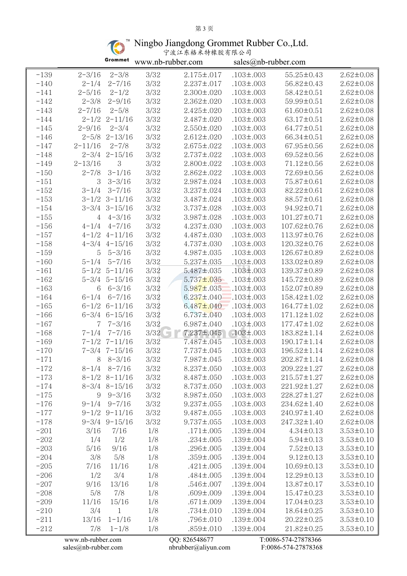## 第 3 页

Ningbo Jiangdong Grommet Rubber Co.,Ltd.

| 宁波江东格米特橡胶有限公司 |  |
|---------------|--|
|---------------|--|

|        |                   | Grommet               | www.nb-rubber.com |                   | sales@nb-rubber.com |                     |                 |
|--------|-------------------|-----------------------|-------------------|-------------------|---------------------|---------------------|-----------------|
| $-139$ | $2 - 3/16$        | $2 - 3/8$             | 3/32              | $2.175 \pm .017$  | $.103 \pm .003$     | 55.25±0.43          | $2.62 \pm 0.08$ |
| $-140$ | $2 - 1/4$         | $2 - 7/16$            | 3/32              | $2.237 \pm .017$  | $.103 \pm .003$     | 56.82±0.43          | $2.62 \pm 0.08$ |
| $-141$ | $2 - 5/16$        | $2 - 1/2$             | $3/32\,$          | $2.300 \pm 0.020$ | $.103 \pm .003$     | 58.42±0.51          | $2.62 \pm 0.08$ |
| $-142$ | $2 - 3/8$         | $2 - 9/16$            | 3/32              | $2.362 \pm .020$  | $.103 \pm .003$     | 59.99±0.51          | $2.62 \pm 0.08$ |
| $-143$ | $2 - 7/16$        | $2 - 5/8$             | $3/32\,$          | $2.425 \pm .020$  | $.103 \pm .003$     | $61.60 \pm 0.51$    | $2.62 \pm 0.08$ |
| $-144$ |                   | $2 - 1/2$ $2 - 11/16$ | 3/32              | $2.487 \pm 0.020$ | $.103 \pm .003$     | 63.17±0.51          | $2.62 \pm 0.08$ |
| $-145$ | $2 - 9/16$        | $2 - 3/4$             | 3/32              | $2.550 \pm 0.020$ | $.103 \pm .003$     | $64.77 \pm 0.51$    | $2.62 \pm 0.08$ |
| $-146$ |                   | $2 - 5/8$ $2 - 13/16$ | 3/32              | $2.612 \pm .020$  | $.103 \pm .003$     | 66.34±0.51          | $2.62 \pm 0.08$ |
| $-147$ | $2 - 11/16$       | $2 - 7/8$             | 3/32              | $2.675 \pm .022$  | $.103 \pm .003$     | 67.95±0.56          | $2.62 \pm 0.08$ |
| $-148$ |                   | $2 - 3/4$ $2 - 15/16$ | 3/32              | $2.737 \pm 0.022$ | $.103 \pm .003$     | 69.52±0.56          | $2.62 \pm 0.08$ |
| $-149$ | $2 - 13/16$       | 3                     | $3/32\,$          | $2.800 \pm 0.022$ | $.103 \pm .003$     | 71.12±0.56          | $2.62 \pm 0.08$ |
| $-150$ | $2 - 7/8$         | $3 - 1/16$            | 3/32              | $2.862 \pm .022$  | $.103 \pm .003$     | 72.69±0.56          | $2.62 \pm 0.08$ |
| $-151$ | 3                 | $3 - 3/16$            | 3/32              | $2.987 \pm .024$  | $.103 \pm .003$     | 75.87±0.61          | $2.62 \pm 0.08$ |
| $-152$ |                   | $3-1/4$ $3-7/16$      | 3/32              | $3.237 \pm .024$  | $.103 \pm .003$     | 82.22±0.61          | $2.62 \pm 0.08$ |
| $-153$ |                   | $3-1/2$ $3-11/16$     | 3/32              | 3.487±.024        | $.103 \pm .003$     | 88.57±0.61          | $2.62 \pm 0.08$ |
| $-154$ |                   | $3-3/4$ $3-15/16$     | 3/32              | $3.737 \pm 0.028$ | $.103 \pm .003$     | 94.92±0.71          | $2.62 \pm 0.08$ |
| $-155$ | 4                 | $4 - 3/16$            | 3/32              | $3.987 \pm .028$  | $.103 \pm .003$     | 101.27±0.71         | $2.62 \pm 0.08$ |
| $-156$ |                   | $4-1/4$ $4-7/16$      | 3/32              | $4.237 \pm .030$  | $.103 \pm .003$     | 107.62±0.76         | $2.62 \pm 0.08$ |
| $-157$ |                   | $4-1/2$ $4-11/16$     | 3/32              | $4.487 \pm .030$  | $.103 \pm .003$     | 113.97±0.76         | $2.62 \pm 0.08$ |
| $-158$ |                   | $4 - 3/4$ $4 - 15/16$ | 3/32              | $4.737 \pm .030$  | $.103 \pm .003$     | 120.32±0.76         | $2.62 \pm 0.08$ |
| $-159$ | 5 <sup>5</sup>    | $5 - 3/16$            | 3/32              | $4.987 \pm .035$  | $.103 \pm .003$     | 126.67±0.89         | $2.62 \pm 0.08$ |
| $-160$ | $5 - 1/4$         | $5 - 7/16$            | 3/32              | $5.237 \pm .035$  | $.103 \pm .003$     | 133.02±0.89         | $2.62 \pm 0.08$ |
| $-161$ |                   | $5 - 1/2$ $5 - 11/16$ | 3/32              | $5.487 \pm 0.035$ | $.103 \pm .003$     | 139.37±0.89         | $2.62 \pm 0.08$ |
| $-162$ |                   | $5 - 3/4$ $5 - 15/16$ | 3/32              | $5.737 \pm 0.035$ | $.103 \pm .003$     | 145.72±0.89         | $2.62 \pm 0.08$ |
| $-163$ | 6                 | $6 - 3/16$            | 3/32              | $5.987 \pm .035$  | $.103 \pm .003$     | 152.07±0.89         | $2.62 \pm 0.08$ |
| $-164$ |                   | $6-1/4$ $6-7/16$      | 3/32              | $6.237 \pm .040$  | $.103 \pm .003$     | 158.42±1.02         | $2.62 \pm 0.08$ |
| $-165$ |                   | $6-1/2$ $6-11/16$     | 3/32              | $6.487 \pm .040$  | $.103 \pm .003$     | 164.77±1.02         | $2.62 \pm 0.08$ |
| $-166$ |                   | $6 - 3/4$ $6 - 15/16$ | $3/32\,$          | $6.737 \pm .040$  | $.103 \pm .003$     | $171.12 \pm 1.02$   | $2.62 \pm 0.08$ |
| $-167$ | 7                 | $7 - 3/16$            | 3/32              | $6.987 \pm .040$  | $.103 \pm .003$     | $177.47 \pm 1.02$   | $2.62 \pm 0.08$ |
| $-168$ |                   | $7-1/4$ $7-7/16$      | 3/32              | $7.237 \pm .045$  | $.103 \pm .003$     | 183.82±1.14         | $2.62 \pm 0.08$ |
| $-169$ |                   | $7-1/2$ $7-11/16$     | 3/32              | 7.487±.045        | $.103 \pm .003$     | 190.17±1.14         | $2.62 \pm 0.08$ |
| $-170$ |                   | $7 - 3/4$ $7 - 15/16$ | 3/32              | 7.737±.045        | $.103 \pm .003$     | 196.52±1.14         | $2.62 \pm 0.08$ |
| $-171$ |                   | $8 \quad 8-3/16$      | 3/32              | 7.987±.045        | $.103 \pm .003$     | 202.87±1.14         | $2.62 \pm 0.08$ |
| $-172$ |                   | $8-1/4$ $8-7/16$      | 3/32              | $8.237 \pm .050$  | $.103 \pm .003$     | 209.22±1.27         | $2.62 \pm 0.08$ |
| $-173$ |                   | $8-1/2$ $8-11/16$     | 3/32              | $8.487 \pm .050$  | $.103 \pm .003$     | $215.57 \pm 1.27$   | $2.62 \pm 0.08$ |
| $-174$ |                   | $8-3/4$ $8-15/16$     | 3/32              | $8.737 \pm .050$  | $.103 \pm .003$     | 221.92±1.27         | $2.62 \pm 0.08$ |
| $-175$ |                   | $9 \quad 9 - 3/16$    | 3/32              | $8.987 \pm .050$  | $.103 \pm .003$     | 228.27±1.27         | $2.62 \pm 0.08$ |
| $-176$ |                   | $9-1/4$ $9-7/16$      | $3/32\,$          | $9.237 \pm .055$  | $.103 \pm .003$     | 234.62±1.40         | $2.62 \pm 0.08$ |
| $-177$ |                   | $9-1/2$ $9-11/16$     | 3/32              | $9.487 \pm .055$  | $.103 \pm .003$     | 240.97±1.40         | $2.62 \pm 0.08$ |
| $-178$ |                   | $9 - 3/4$ $9 - 15/16$ | 3/32              | $9.737 \pm 0.055$ | $.103 \pm .003$     | 247.32±1.40         | $2.62 \pm 0.08$ |
| $-201$ | 3/16              | 7/16                  | 1/8               | $.171 \pm .005$   | $.139 \pm .004$     | $4.34 \pm 0.13$     | $3.53 \pm 0.10$ |
| $-202$ | 1/4               | 1/2                   | 1/8               | $.234 \pm .005$   | $.139 \pm .004$     | $5.94 \pm 0.13$     | $3.53 \pm 0.10$ |
| $-203$ | 5/16              | 9/16                  | 1/8               | $.296 \pm .005$   | $.139 \pm .004$     | $7.52 \pm 0.13$     | $3.53 \pm 0.10$ |
| $-204$ | 3/8               | 5/8                   | 1/8               | $.359 \pm .005$   | $.139 \pm .004$     | $9.12 \pm 0.13$     | $3.53 \pm 0.10$ |
| $-205$ | 7/16              | 11/16                 | 1/8               | $.421 \pm .005$   | $.139 \pm .004$     | $10.69 \pm 0.13$    | $3.53 \pm 0.10$ |
| $-206$ | 1/2               | 3/4                   | 1/8               | $.484 \pm .005$   | $.139 \pm .004$     | 12.29±0.13          | $3.53 \pm 0.10$ |
| $-207$ | 9/16              | 13/16                 | 1/8               | $.546 \pm .007$   | $.139 \pm .004$     | 13.87±0.17          | $3.53 \pm 0.10$ |
|        | 5/8               | 7/8                   |                   |                   |                     |                     | $3.53 \pm 0.10$ |
| $-208$ |                   |                       | 1/8               | $.609 \pm .009$   | $.139 \pm .004$     | $15.47 \pm 0.23$    |                 |
| $-209$ | 11/16             | 15/16                 | 1/8               | $.671 \pm .009$   | $.139 \pm .004$     | $17.04 \pm 0.23$    | $3.53 \pm 0.10$ |
| $-210$ | 3/4               | $\mathbf{1}$          | 1/8               | $.734 \pm .010$   | $.139 \pm .004$     | 18.64±0.25          | $3.53 \pm 0.10$ |
| $-211$ | 13/16             | $1 - 1/16$            | 1/8               | $.796 \pm .010$   | $.139 \pm .004$     | $20.22 \pm 0.25$    | $3.53 \pm 0.10$ |
| $-212$ | 7/8               | $1 - 1/8$             | 1/8               | $.859 \pm .010$   | $.139 \pm .004$     | 21.82±0.25          | $3.53 \pm 0.10$ |
|        | www.nb-rubber.com |                       |                   | QQ: 826548677     |                     | T:0086-574-27878366 |                 |

[sales@nb-rubber.com](mailto:sales@nb-rubber.com) [nbrubber@aliyun.com](mailto:nbrubber@gmail.com) F:0086-574-27878368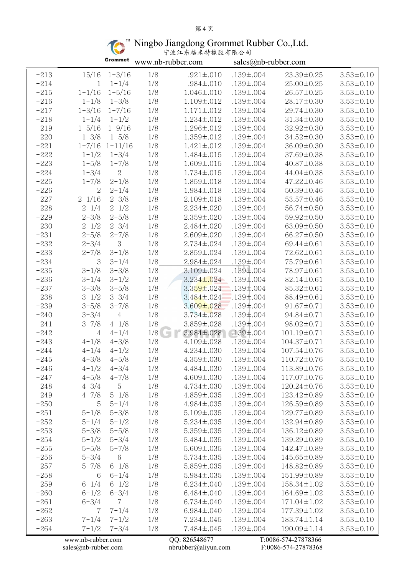## 第 4 页

Ningbo Jiangdong Grommet Rubber Co.,Ltd.

| 宁波江东格米特橡胶有限公司 |  |
|---------------|--|
|---------------|--|

|        |                | Grommet                | www.nb-rubber.com |                   | sales@nb-rubber.com |                   |                 |  |
|--------|----------------|------------------------|-------------------|-------------------|---------------------|-------------------|-----------------|--|
| $-213$ | 15/16          | $1 - 3/16$             | 1/8               | $.921 \pm .010$   | $.139 \pm .004$     | 23.39±0.25        | $3.53 \pm 0.10$ |  |
| $-214$ | $\mathbf 1$    | $1 - 1/4$              | 1/8               | $.984 \pm .010$   | $.139 \pm .004$     | $25.00 \pm 0.25$  | $3.53 \pm 0.10$ |  |
| $-215$ | $1 - 1/16$     | $1 - 5/16$             | 1/8               | $1.046 \pm .010$  | $.139 \pm .004$     | $26.57 \pm 0.25$  | $3.53 \pm 0.10$ |  |
| $-216$ | $1 - 1/8$      | $1 - 3/8$              | 1/8               | $1.109 \pm .012$  | $.139 \pm .004$     | 28.17±0.30        | $3.53 \pm 0.10$ |  |
| $-217$ | $1 - 3/16$     | $1 - 7/16$             | 1/8               | $1.171 \pm .012$  | $.139 \pm .004$     | $29.74 \pm 0.30$  | $3.53 \pm 0.10$ |  |
| $-218$ | $1 - 1/4$      | $1 - 1/2$              | 1/8               | $1.234 \pm .012$  | $.139 \pm .004$     | $31.34 \pm 0.30$  | $3.53 \pm 0.10$ |  |
| $-219$ | $1 - 5/16$     | $1 - 9/16$             | 1/8               | 1.296±.012        | $.139 \pm .004$     | $32.92 \pm 0.30$  | $3.53 \pm 0.10$ |  |
| $-220$ | $1 - 3/8$      | $1 - 5/8$              | 1/8               | $1.359 \pm .012$  | $.139 \pm .004$     | 34.52±0.30        | $3.53 \pm 0.10$ |  |
| $-221$ |                | $1 - 7/16$ $1 - 11/16$ | 1/8               | $1.421 \pm .012$  | $.139 \pm .004$     | 36.09±0.30        | $3.53 \pm 0.10$ |  |
| $-222$ | $1 - 1/2$      | $1 - 3/4$              | 1/8               | $1.484 \pm .015$  | $.139 \pm .004$     | 37.69±0.38        | $3.53 \pm 0.10$ |  |
| $-223$ | $1 - 5/8$      | $1 - 7/8$              | 1/8               | $1.609 \pm .015$  | $.139 \pm .004$     | $40.87 \pm 0.38$  | $3.53 \pm 0.10$ |  |
| $-224$ | $1 - 3/4$      | $\boldsymbol{2}$       | 1/8               | $1.734 \pm .015$  | $.139 \pm .004$     | $44.04 \pm 0.38$  | $3.53 \pm 0.10$ |  |
| $-225$ | $1 - 7/8$      | $2 - 1/8$              | 1/8               | 1.859±.018        | $.139 \pm .004$     | $47.22 \pm 0.46$  | $3.53 \pm 0.10$ |  |
| $-226$ | $\overline{2}$ | $2 - 1/4$              | 1/8               | $1.984 \pm .018$  | $.139 \pm .004$     | $50.39 \pm 0.46$  | $3.53 \pm 0.10$ |  |
| $-227$ | $2 - 1/16$     | $2 - 3/8$              | 1/8               | $2.109 \pm .018$  | $.139 \pm .004$     | 53.57±0.46        | $3.53 \pm 0.10$ |  |
| $-228$ | $2 - 1/4$      | $2 - 1/2$              | 1/8               | $2.234 \pm 0.020$ | $.139 \pm .004$     | 56.74±0.50        | $3.53 \pm 0.10$ |  |
| $-229$ | $2 - 3/8$      | $2 - 5/8$              | 1/8               | $2.359 \pm .020$  | $.139 \pm .004$     | 59.92±0.50        | $3.53 \pm 0.10$ |  |
| $-230$ | $2 - 1/2$      | $2 - 3/4$              | 1/8               | $2.484 \pm 0.020$ | $.139 \pm .004$     | 63.09±0.50        | $3.53 \pm 0.10$ |  |
| $-231$ | $2 - 5/8$      | $2 - 7/8$              | 1/8               | $2.609 \pm .020$  | $.139 \pm .004$     | 66.27±0.50        | $3.53 \pm 0.10$ |  |
| $-232$ | $2 - 3/4$      | 3                      | 1/8               | $2.734 \pm 0.024$ | $.139 \pm .004$     | 69.44±0.61        | $3.53 \pm 0.10$ |  |
| $-233$ | $2 - 7/8$      | $3 - 1/8$              | 1/8               | 2.859±.024        | $.139 \pm .004$     | 72.62±0.61        | $3.53 \pm 0.10$ |  |
| $-234$ | $\sqrt{3}$     | $3 - 1/4$              | 1/8               | $2.984 \pm .024$  | $.139 \pm .004$     | 75.79±0.61        | $3.53 \pm 0.10$ |  |
| $-235$ | $3 - 1/8$      | $3 - 3/8$              | 1/8               | $3.109 \pm .024$  | $.189 \pm .004$     | 78.97±0.61        | $3.53 \pm 0.10$ |  |
| $-236$ | $3 - 1/4$      | $3 - 1/2$              | 1/8               | $3.234 \pm 0.024$ | $.139 \pm .004$     | $82.14 \pm 0.61$  | $3.53 \pm 0.10$ |  |
| $-237$ | $3 - 3/8$      | $3 - 5/8$              | 1/8               | $3.359 \pm .024$  | $.139 \pm .004$     | $85.32 \pm 0.61$  | $3.53 \pm 0.10$ |  |
| $-238$ | $3 - 1/2$      | $3 - 3/4$              | 1/8               | $3.484 \pm .024$  | $.139 \pm .004$     | 88.49±0.61        | $3.53 \pm 0.10$ |  |
| $-239$ | $3 - 5/8$      | $3 - 7/8$              | 1/8               | $3.609 \pm 0.028$ | $.139 \pm .004$     | $91.67 \pm 0.71$  | $3.53 \pm 0.10$ |  |
| $-240$ | $3 - 3/4$      | $\,4\,$                | 1/8               | $3.734 \pm 0.028$ | $.139 \pm .004$     | 94.84±0.71        | $3.53 \pm 0.10$ |  |
| $-241$ | $3 - 7/8$      | $4 - 1/8$              | 1/8               | 3.859±.028        | $.139 \pm .004$     | 98.02±0.71        | $3.53 \pm 0.10$ |  |
| $-242$ | $\overline{4}$ | $4 - 1/4$              | 1/8               | $3.984 \pm 0.028$ | $.139 \pm .004$     | 101.19±0.71       | $3.53 \pm 0.10$ |  |
| $-243$ | $4 - 1/8$      | $4 - 3/8$              | 1/8               | $4.109 \pm .028$  | $.139 \pm .004$     | $104.37 \pm 0.71$ | $3.53 \pm 0.10$ |  |
| $-244$ | $4 - 1/4$      | $4 - 1/2$              | 1/8               | $4.234 \pm .030$  | $.139 \pm .004$     | 107.54±0.76       | $3.53 \pm 0.10$ |  |
| $-245$ | $4 - 3/8$      | $4 - 5/8$              | 1/8               | 4.359±.030        | $.139 \pm .004$     | 110.72±0.76       | $3.53 \pm 0.10$ |  |
| $-246$ | $4 - 1/2$      | $4 - 3/4$              | 1/8               | $4.484 \pm 0.030$ | $.139 \pm .004$     | 113.89±0.76       | $3.53 \pm 0.10$ |  |
| $-247$ | $4 - 5/8$      | $4 - 7/8$              | 1/8               | $4.609 \pm .030$  | $.139 \pm .004$     | 117.07±0.76       | $3.53 \pm 0.10$ |  |
| $-248$ | $4 - 3/4$      | $\overline{5}$         | 1/8               | $4.734 \pm 0.030$ | $.139 \pm .004$     | 120.24±0.76       | $3.53 \pm 0.10$ |  |
| $-249$ | $4 - 7/8$      | $5 - 1/8$              | 1/8               | $4.859 \pm .035$  | $.139 \pm .004$     | 123.42±0.89       | $3.53 \pm 0.10$ |  |
| $-250$ | 5              | $5 - 1/4$              | 1/8               | $4.984 \pm 0.035$ | $.139 \pm .004$     | 126.59±0.89       | $3.53 \pm 0.10$ |  |
| $-251$ | $5 - 1/8$      | $5 - 3/8$              | 1/8               | $5.109 \pm .035$  | $.139 \pm .004$     | 129.77±0.89       | $3.53 \pm 0.10$ |  |
| $-252$ | $5 - 1/4$      | $5 - 1/2$              | 1/8               | $5.234 \pm .035$  | $.139 \pm .004$     | 132.94±0.89       | $3.53 \pm 0.10$ |  |
| $-253$ | $5 - 3/8$      | $5 - 5/8$              | 1/8               | $5.359 \pm .035$  | $.139 \pm .004$     | 136.12±0.89       | $3.53 \pm 0.10$ |  |
| $-254$ | $5 - 1/2$      | $5 - 3/4$              | 1/8               | 5.484±.035        | $.139 \pm .004$     | 139.29±0.89       | $3.53 \pm 0.10$ |  |
| $-255$ | $5 - 5/8$      | $5 - 7/8$              | 1/8               | $5.609 \pm .035$  | $.139 \pm .004$     | 142.47±0.89       | $3.53 \pm 0.10$ |  |
| $-256$ | $5 - 3/4$      | 6                      | 1/8               | $5.734 \pm 0.035$ | $.139 \pm .004$     | 145.65±0.89       | $3.53 \pm 0.10$ |  |
| $-257$ | $5 - 7/8$      | $6 - 1/8$              | 1/8               | $5.859 \pm .035$  | $.139 \pm .004$     | 148.82±0.89       | $3.53 \pm 0.10$ |  |
| $-258$ | 6              | $6 - 1/4$              | 1/8               | $5.984 \pm 0.035$ | $.139 \pm .004$     | 151.99±0.89       | $3.53 \pm 0.10$ |  |
| $-259$ | $6 - 1/4$      | $6 - 1/2$              | 1/8               | $6.234 \pm .040$  | $.139 \pm .004$     | 158.34±1.02       | $3.53 \pm 0.10$ |  |
| $-260$ | $6 - 1/2$      | $6 - 3/4$              | 1/8               | $6.484 \pm .040$  | $.139 \pm .004$     | 164.69±1.02       | $3.53 \pm 0.10$ |  |
| $-261$ | $6 - 3/4$      | $\mathbf 7$            | 1/8               | $6.734 \pm .040$  | $.139 \pm .004$     | $171.04 \pm 1.02$ | $3.53 \pm 0.10$ |  |
| $-262$ | $\overline{7}$ | $7 - 1/4$              | 1/8               | $6.984 \pm .040$  | $.139 \pm .004$     | 177.39±1.02       | $3.53 \pm 0.10$ |  |
| $-263$ | $7 - 1/4$      | $7 - 1/2$              | 1/8               | 7.234±.045        | $.139 \pm .004$     | 183.74±1.14       | $3.53 \pm 0.10$ |  |
| $-264$ | $7 - 1/2$      | $7 - 3/4$              | 1/8               | 7.484±.045        | $.139 \pm .004$     | 190.09±1.14       | $3.53 \pm 0.10$ |  |
|        |                |                        |                   |                   |                     |                   |                 |  |

[sales@nb-rubber.com](mailto:sales@nb-rubber.com) [nbrubber@aliyun.com](mailto:nbrubber@gmail.com) F:0086-574-27878368

[www.nb-rubber.com](http://www.nb-rubber.com) QQ: 826548677 T:0086-574-27878366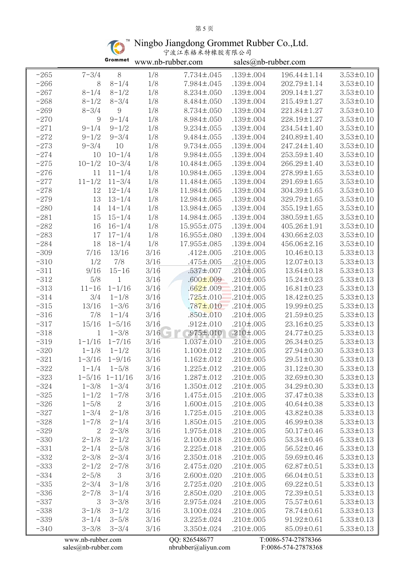# 第 5 页

Ningbo Jiangdong Grommet Rubber Co.,Ltd.

| 宁波江东格米特橡胶有限公司 |  |
|---------------|--|
|---------------|--|

|        |                   | Grommet                | www.nb-rubber.com |                   | sales@nb-rubber.com |                     |                 |  |
|--------|-------------------|------------------------|-------------------|-------------------|---------------------|---------------------|-----------------|--|
| $-265$ | $7 - 3/4$         | $8\,$                  | 1/8               | 7.734±.045        | $.139 \pm .004$     | 196.44±1.14         | $3.53 \pm 0.10$ |  |
| $-266$ | 8                 | $8 - 1/4$              | 1/8               | 7.984±.045        | $.139 \pm .004$     | 202.79±1.14         | $3.53 \pm 0.10$ |  |
| $-267$ | $8 - 1/4$         | $8 - 1/2$              | $1/8$             | $8.234 \pm .050$  | $.139 \pm .004$     | 209.14±1.27         | $3.53 \pm 0.10$ |  |
| $-268$ | $8 - 1/2$         | $8 - 3/4$              | 1/8               | $8.484 \pm 0.050$ | $.139 \pm .004$     | 215.49±1.27         | $3.53 \pm 0.10$ |  |
| $-269$ | $8 - 3/4$         | 9                      | 1/8               | $8.734 \pm .050$  | $.139 \pm .004$     | 221.84±1.27         | $3.53 \pm 0.10$ |  |
| $-270$ | 9                 | $9 - 1/4$              | 1/8               | $8.984 \pm .050$  | $.139 \pm .004$     | 228.19±1.27         | $3.53 \pm 0.10$ |  |
| $-271$ | $9 - 1/4$         | $9 - 1/2$              | 1/8               | $9.234 \pm .055$  | $.139 \pm .004$     | 234.54±1.40         | $3.53 \pm 0.10$ |  |
| $-272$ | $9 - 1/2$         | $9 - 3/4$              | 1/8               | $9.484 \pm 0.055$ | $.139 \pm .004$     | 240.89±1.40         | $3.53 \pm 0.10$ |  |
| $-273$ | $9 - 3/4$         | 10                     | $1/8$             | $9.734 \pm 0.055$ | $.139 \pm .004$     | $247.24 \pm 1.40$   | $3.53 \pm 0.10$ |  |
| $-274$ | 10                | $10 - 1/4$             | 1/8               | $9.984 \pm 0.055$ | $.139 \pm .004$     | 253.59±1.40         | $3.53 \pm 0.10$ |  |
| $-275$ | $10 - 1/2$        | $10 - 3/4$             | 1/8               | 10.484±.065       | $.139 \pm .004$     | 266.29±1.40         | $3.53 \pm 0.10$ |  |
| $-276$ | 11                | $11 - 1/4$             | 1/8               | 10.984±.065       | $.139 \pm .004$     | 278.99±1.65         | $3.53 \pm 0.10$ |  |
| $-277$ | $11 - 1/2$        | $11 - 3/4$             | 1/8               | 11.484±.065       | $.139 \pm .004$     | 291.69±1.65         | $3.53 \pm 0.10$ |  |
| $-278$ | 12                | $12 - 1/4$             | 1/8               | 11.984±.065       | $.139 \pm .004$     | 304.39±1.65         | $3.53 \pm 0.10$ |  |
| $-279$ | 13                | $13 - 1/4$             | 1/8               | 12.984±.065       | $.139 \pm .004$     | 329.79±1.65         | $3.53 \pm 0.10$ |  |
| $-280$ | 14                | $14 - 1/4$             | 1/8               | 13.984±.065       | $.139 \pm .004$     | 355.19±1.65         | $3.53 \pm 0.10$ |  |
| $-281$ | 15                | $15 - 1/4$             | 1/8               | 14.984±.065       | $.139 \pm .004$     | 380.59±1.65         | $3.53 \pm 0.10$ |  |
| $-282$ | 16                | $16 - 1/4$             | 1/8               | 15.955±.075       | $.139 \pm .004$     | 405.26±1.91         | $3.53 \pm 0.10$ |  |
| $-283$ | 17                | $17 - 1/4$             | 1/8               | 16.955±.080       | $.139 \pm .004$     | 430.66±2.03         | $3.53 \pm 0.10$ |  |
| $-284$ | 18                | $18 - 1/4$             | 1/8               | 17.955±.085       | $.139 \pm .004$     | 456.06±2.16         | $3.53 \pm 0.10$ |  |
| $-309$ | 7/16              | 13/16                  | $3/16$            | $.412 \pm .005$   | $.210 \pm .005$     | $10.46 \pm 0.13$    | $5.33 \pm 0.13$ |  |
| $-310$ | 1/2               | 7/8                    | $3/16$            | $.475 \pm .005$   | $.210 \pm .005$     | $12.07 \pm 0.13$    | $5.33 \pm 0.13$ |  |
| $-311$ | 9/16              | $15 - 16$              | 3/16              | $.537 \pm .007$   | $.210 \pm .005$     | 13.64±0.18          | $5.33 \pm 0.13$ |  |
| $-312$ | 5/8               | $\mathbf{1}$           | $3/16$            | $.600 \pm .009$   | $.210 \pm .005$     | $15.24 \pm 0.23$    | $5.33 \pm 0.13$ |  |
| $-313$ | $11 - 16$         | $1 - 1/16$             | 3/16              | $.662 \pm .009$   | $.210 \pm .005$     | $16.81 \pm 0.23$    | $5.33 \pm 0.13$ |  |
| $-314$ | 3/4               | $1 - 1/8$              | 3/16              | $.725 \pm .010$   | $.210 \pm .005$     | 18.42±0.25          | $5.33 \pm 0.13$ |  |
| $-315$ | 13/16             | $1 - 3/6$              | $3/16$            | $.787 \pm .010$   | $.210 \pm .005$     | 19.99±0.25          | $5.33 \pm 0.13$ |  |
| $-316$ | 7/8               | $1 - 1/4$              | $3/16\,$          | $.850 \pm .010$   | $.210 \pm .005$     | $21.59 \pm 0.25$    | $5.33 \pm 0.13$ |  |
| $-317$ | 15/16             | $1 - 5/16$             | 3/16              | $.912 \pm .010$   | $.210 \pm .005$     | 23.16±0.25          | $5.33 \pm 0.13$ |  |
| $-318$ | $\mathbf 1$       | $1 - 3/8$              | 3/16              | $.975 \pm .010$   | $.210 \pm .005$     | 24.77±0.25          | $5.33 \pm 0.13$ |  |
| $-319$ | $1 - 1/16$        | $1 - 7/16$             | 3/16              | $1.037 \pm .010$  | $.210 \pm .005$     | $26.34 \pm 0.25$    | $5.33 \pm 0.13$ |  |
| $-320$ | $1 - 1/8$         | $1 - 1/2$              | 3/16              | $1.100 \pm .012$  | $.210 \pm .005$     | $27.94 \pm 0.30$    | $5.33 \pm 0.13$ |  |
| $-321$ | $1 - 3/16$        | $1 - 9/16$             | 3/16              | $1.162 \pm .012$  | $.210 \pm .005$     | $29.51 \pm 0.30$    | $5.33 \pm 0.13$ |  |
| $-322$ | $1 - 1/4$         | $1 - 5/8$              | 3/16              | $1.225 \pm .012$  | $.210 \pm .005$     | 31.12±0.30          | $5.33 \pm 0.13$ |  |
| $-323$ |                   | $1 - 5/16$ $1 - 11/16$ | 3/16              | $1.287 \pm .012$  | $.210 \pm .005$     | 32.69±0.30          | $5.33 \pm 0.13$ |  |
| $-324$ | $1 - 3/8$         | $1 - 3/4$              | 3/16              | $1.350 \pm .012$  | $.210 \pm .005$     | 34.29±0.30          | $5.33 \pm 0.13$ |  |
| $-325$ | $1 - 1/2$         | $1 - 7/8$              | 3/16              | $1.475 \pm .015$  | $.210 \pm .005$     | 37.47±0.38          | $5.33 \pm 0.13$ |  |
| $-326$ | $1 - 5/8$         | 2                      | 3/16              | $1.600 \pm .015$  | $.210 \pm .005$     | $40.64 \pm 0.38$    | $5.33 \pm 0.13$ |  |
| $-327$ | $1 - 3/4$         | $2 - 1/8$              | 3/16              | $1.725 \pm .015$  | $.210 \pm .005$     | 43.82±0.38          | $5.33 \pm 0.13$ |  |
| $-328$ | $1 - 7/8$         | $2 - 1/4$              | 3/16              | $1.850 \pm .015$  | $.210 \pm .005$     | 46.99±0.38          | $5.33 \pm 0.13$ |  |
| $-329$ | 2                 | $2 - 3/8$              | 3/16              | $1.975 \pm .018$  | $.210 \pm .005$     | $50.17 \pm 0.46$    | $5.33 \pm 0.13$ |  |
| $-330$ | $2 - 1/8$         | $2 - 1/2$              | 3/16              | $2.100 \pm .018$  | $.210 \pm .005$     | 53.34±0.46          | $5.33 \pm 0.13$ |  |
| $-331$ | $2 - 1/4$         | $2 - 5/8$              | 3/16              | $2.225 \pm .018$  | $.210 \pm .005$     | 56.52±0.46          | $5.33 \pm 0.13$ |  |
| $-332$ | $2 - 3/8$         | $2 - 3/4$              | 3/16              | $2.350 \pm .018$  | $.210 \pm .005$     | 59.69±0.46          | $5.33 \pm 0.13$ |  |
| $-333$ | $2 - 1/2$         | $2 - 7/8$              | 3/16              | 2.475±.020        | $.210 \pm .005$     | 62.87±0.51          | $5.33 \pm 0.13$ |  |
| $-334$ | $2 - 5/8$         | 3                      | 3/16              | $2.600 \pm 0.020$ | $.210 \pm .005$     | 66.04±0.51          | $5.33 \pm 0.13$ |  |
| $-335$ | $2 - 3/4$         | $3 - 1/8$              | 3/16              | $2.725 \pm .020$  | $.210 \pm .005$     | 69.22±0.51          | $5.33 \pm 0.13$ |  |
| $-336$ | $2 - 7/8$         | $3 - 1/4$              | 3/16              | $2.850 \pm .020$  | $.210 \pm .005$     | 72.39±0.51          | $5.33 \pm 0.13$ |  |
| $-337$ | 3                 | $3 - 3/8$              | 3/16              | $2.975 \pm .024$  | $.210 \pm .005$     | 75.57±0.61          | $5.33 \pm 0.13$ |  |
| $-338$ | $3 - 1/8$         | $3 - 1/2$              | 3/16              | $3.100 \pm .024$  | $.210 \pm .005$     | 78.74±0.61          | $5.33 \pm 0.13$ |  |
| $-339$ | $3 - 1/4$         | $3 - 5/8$              | 3/16              | $3.225 \pm .024$  | $.210 \pm .005$     | $91.92 \pm 0.61$    | $5.33 \pm 0.13$ |  |
| $-340$ | $3 - 3/8$         | $3 - 3/4$              | 3/16              | $3.350 \pm .024$  | $.210 \pm .005$     | 85.09±0.61          | $5.33 \pm 0.13$ |  |
|        | www.nb-rubber.com |                        |                   | QQ: 826548677     |                     | T:0086-574-27878366 |                 |  |

[sales@nb-rubber.com](mailto:sales@nb-rubber.com) [nbrubber@aliyun.com](mailto:nbrubber@gmail.com) F:0086-574-27878368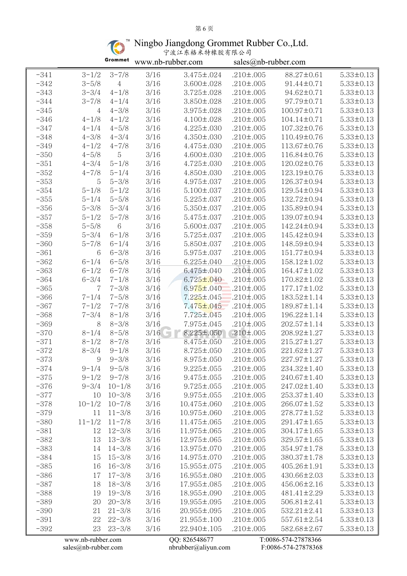## 第 6 页

Ningbo Jiangdong Grommet Rubber Co.,Ltd.

|  | $\omega$ $\omega$ $\omega$ |  |  |  |  |  |
|--|----------------------------|--|--|--|--|--|
|  | 宁波江东格米特橡胶有限公司              |  |  |  |  |  |
|  |                            |  |  |  |  |  |
|  |                            |  |  |  |  |  |

|        |                   | Grommet        | www.nb-rubber.com |                   | sales@nb-rubber.com |                     |                 |
|--------|-------------------|----------------|-------------------|-------------------|---------------------|---------------------|-----------------|
| $-341$ | $3 - 1/2$         | $3 - 7/8$      | 3/16              | 3.475±.024        | $.210 \pm .005$     | 88.27±0.61          | $5.33 \pm 0.13$ |
| $-342$ | $3 - 5/8$         | $\overline{4}$ | $3/16$            | $3.600 \pm .028$  | $.210 \pm .005$     | 91.44±0.71          | $5.33 \pm 0.13$ |
| $-343$ | $3 - 3/4$         | $4 - 1/8$      | $3/16$            | $3.725 \pm .028$  | $.210 \pm .005$     | 94.62±0.71          | $5.33 \pm 0.13$ |
| $-344$ | $3 - 7/8$         | $4 - 1/4$      | 3/16              | $3.850 \pm .028$  | $.210 \pm .005$     | 97.79±0.71          | $5.33 \pm 0.13$ |
| $-345$ | 4                 | $4 - 3/8$      | 3/16              | $3.975 \pm .028$  | $.210 \pm .005$     | 100.97±0.71         | $5.33 \pm 0.13$ |
| $-346$ | $4 - 1/8$         | $4 - 1/2$      | 3/16              | $4.100 \pm .028$  | $.210 \pm .005$     | $104.14 \pm 0.71$   | $5.33 \pm 0.13$ |
| $-347$ | $4 - 1/4$         | $4 - 5/8$      | 3/16              | $4.225 \pm .030$  | $.210 \pm .005$     | 107.32±0.76         | $5.33 \pm 0.13$ |
| $-348$ | $4 - 3/8$         | $4 - 3/4$      | 3/16              | $4.350 \pm .030$  | $.210 \pm .005$     | 110.49±0.76         | $5.33 \pm 0.13$ |
| $-349$ | $4 - 1/2$         | $4 - 7/8$      | 3/16              | $4.475 \pm .030$  | $.210 \pm .005$     | 113.67±0.76         | $5.33 \pm 0.13$ |
| $-350$ | $4 - 5/8$         | 5              | $3/16$            | $4.600 \pm .030$  | $.210 \pm .005$     | 116.84±0.76         | $5.33 \pm 0.13$ |
| $-351$ | $4 - 3/4$         | $5 - 1/8$      | 3/16              | $4.725 \pm .030$  | $.210 \pm .005$     | 120.02±0.76         | $5.33 \pm 0.13$ |
| $-352$ | $4 - 7/8$         | $5 - 1/4$      | 3/16              | $4.850 \pm .030$  | $.210 \pm .005$     | 123.19±0.76         | $5.33 \pm 0.13$ |
| $-353$ | 5                 | $5 - 3/8$      | 3/16              | $4.975 \pm .037$  | $.210 \pm .005$     | 126.37±0.94         | $5.33 \pm 0.13$ |
| $-354$ | $5 - 1/8$         | $5 - 1/2$      | $3/16$            | $5.100 \pm .037$  | $.210 \pm .005$     | 129.54±0.94         | $5.33 \pm 0.13$ |
| $-355$ | $5 - 1/4$         | $5 - 5/8$      | $3/16$            | $5.225 \pm .037$  | $.210 \pm .005$     | 132.72±0.94         | $5.33 \pm 0.13$ |
| $-356$ | $5 - 3/8$         | $5 - 3/4$      | 3/16              | $5.350 \pm .037$  | $.210 \pm .005$     | 135.89±0.94         | $5.33 \pm 0.13$ |
| $-357$ | $5 - 1/2$         | $5 - 7/8$      | 3/16              | $5.475 \pm .037$  | $.210 \pm .005$     | 139.07±0.94         | $5.33 \pm 0.13$ |
| $-358$ | $5 - 5/8$         | $6\,$          | 3/16              | $5.600 \pm .037$  | $.210 \pm .005$     | 142.24±0.94         | $5.33 \pm 0.13$ |
| $-359$ | $5 - 3/4$         | $6 - 1/8$      | 3/16              | $5.725 \pm .037$  | $.210 \pm .005$     | 145.42±0.94         | $5.33 \pm 0.13$ |
| $-360$ | $5 - 7/8$         | $6 - 1/4$      | $3/16$            | $5.850 \pm .037$  | $.210 \pm .005$     | 148.59±0.94         | $5.33 \pm 0.13$ |
| $-361$ | 6                 | $6 - 3/8$      | $3/16$            | $5.975 \pm .037$  | $.210 \pm .005$     | 151.77±0.94         | $5.33 \pm 0.13$ |
| $-362$ | $6 - 1/4$         | $6 - 5/8$      | 3/16              | $6.225 \pm .040$  | $.210 \pm .005$     | 158.12±1.02         | $5.33 \pm 0.13$ |
| $-363$ | $6 - 1/2$         | $6 - 7/8$      | 3/16              | $6.475 \pm .040$  | $.210 \pm .005$     | 164.47±1.02         | $5.33 \pm 0.13$ |
| $-364$ | $6 - 3/4$         | $7 - 1/8$      | $3/16$            | $6.725 \pm .040$  | $.210 \pm .005$     | 170.82±1.02         | $5.33 \pm 0.13$ |
| $-365$ | 7                 | $7 - 3/8$      | 3/16              | $6.975 \pm .040$  | $.210 \pm .005$     | $177.17 \pm 1.02$   | $5.33 \pm 0.13$ |
| $-366$ | $7 - 1/4$         | $7 - 5/8$      | $3/16$            | $7.225 \pm .045$  | $.210 \pm .005$     | 183.52±1.14         | $5.33 \pm 0.13$ |
| $-367$ | $7 - 1/2$         | $7 - 7/8$      | 3/16              | $7.475 \pm .045$  | $.210 \pm .005$     | 189.87±1.14         | $5.33 \pm 0.13$ |
| $-368$ | $7 - 3/4$         | $8 - 1/8$      | 3/16              | 7.725±.045        | $.210 \pm .005$     | 196.22±1.14         | $5.33 \pm 0.13$ |
| $-369$ | 8                 | $8 - 3/8$      | 3/16              | 7.975±.045        | $.210 \pm .005$     | $202.57 \pm 1.14$   | $5.33 \pm 0.13$ |
| $-370$ | $8 - 1/4$         | $8 - 5/8$      | 3/16              | $8.225 \pm .050$  | $.210 \pm .005$     | 208.92±1.27         | $5.33 \pm 0.13$ |
| $-371$ | $8 - 1/2$         | $8 - 7/8$      | 3/16              | $8.475 \pm .050$  | $.210 \pm .005$     | $215.27 \pm 1.27$   | $5.33 \pm 0.13$ |
| $-372$ | $8 - 3/4$         | $9 - 1/8$      | 3/16              | $8.725 \pm .050$  | $.210 \pm .005$     | 221.62±1.27         | $5.33 \pm 0.13$ |
| $-373$ | 9                 | $9 - 3/8$      | 3/16              | 8.975±.050        | $.210 \pm .005$     | 227.97±1.27         | $5.33 \pm 0.13$ |
| $-374$ | $9 - 1/4$         | $9 - 5/8$      | 3/16              | $9.225 \pm .055$  | $.210 \pm .005$     | 234.32±1.40         | $5.33 \pm 0.13$ |
| $-375$ | $9 - 1/2$         | $9 - 7/8$      | 3/16              | $9.475 \pm .055$  | $.210 \pm .005$     | 240.67±1.40         | $5.33 \pm 0.13$ |
| $-376$ | $9 - 3/4$         | $10 - 1/8$     | 3/16              | $9.725 \pm .055$  | $.210 \pm .005$     | 247.02±1.40         | $5.33 \pm 0.13$ |
| $-377$ | 10                | $10 - 3/8$     | $3/16$            | $9.975 \pm .055$  | $.210 \pm .005$     | 253.37±1.40         | $5.33 \pm 0.13$ |
| $-378$ | $10 - 1/2$        | $10 - 7/8$     | 3/16              | 10.475±.060       | $.210 \pm .005$     | 266.07±1.52         | $5.33 \pm 0.13$ |
| $-379$ | 11                | $11 - 3/8$     | 3/16              | 10.975±.060       | $.210 \pm .005$     | 278.77±1.52         | $5.33 \pm 0.13$ |
| $-380$ | $11 - 1/2$        | $11 - 7/8$     | 3/16              | 11.475±.065       | $.210 \pm .005$     | 291.47±1.65         | $5.33 \pm 0.13$ |
| $-381$ | 12                | $12 - 3/8$     | 3/16              | 11.975±.065       | $.210 \pm .005$     | 304.17±1.65         | $5.33 \pm 0.13$ |
| $-382$ | 13                | $13 - 3/8$     | 3/16              | 12.975±.065       | $.210 \pm .005$     | 329.57±1.65         | $5.33 \pm 0.13$ |
| $-383$ | 14                | $14 - 3/8$     | 3/16              | 13.975±.070       | $.210 \pm .005$     | 354.97±1.78         | $5.33 \pm 0.13$ |
| $-384$ | 15                | $15 - 3/8$     | 3/16              | 14.975±.070       | $.210 \pm .005$     | 380.37±1.78         | $5.33 \pm 0.13$ |
| $-385$ | 16                | $16 - 3/8$     | 3/16              | 15.955±.075       | $.210 \pm .005$     | 405.26±1.91         | $5.33 \pm 0.13$ |
| $-386$ | 17                | $17 - 3/8$     | 3/16              | 16.955±.080       | $.210 \pm .005$     | 430.66±2.03         | $5.33 \pm 0.13$ |
| $-387$ | 18                | $18 - 3/8$     | 3/16              | 17.955±.085       | $.210 \pm .005$     | 456.06±2.16         | $5.33 \pm 0.13$ |
| $-388$ | 19                | $19 - 3/8$     | 3/16              | 18.955±.090       | $.210 \pm .005$     | $481.41 \pm 2.29$   | $5.33 \pm 0.13$ |
| $-389$ | 20                | $20 - 3/8$     | 3/16              | 19.955±.095       | $.210 \pm .005$     | 506.81±2.41         | $5.33 \pm 0.13$ |
| $-390$ | 21                | $21 - 3/8$     | 3/16              | 20.955±.095       | $.210 \pm .005$     | $532.21 \pm 2.41$   | $5.33 \pm 0.13$ |
| $-391$ | 22                | $22 - 3/8$     | 3/16              | $21.955 \pm .100$ | $.210 \pm .005$     | 557.61±2.54         | $5.33 \pm 0.13$ |
| $-392$ | 23                | $23 - 3/8$     | 3/16              | 22.940±.105       | $.210 \pm .005$     | 582.68±2.67         | $5.33 \pm 0.13$ |
|        | www.nb-rubber.com |                |                   | QQ: 826548677     |                     | T:0086-574-27878366 |                 |

[sales@nb-rubber.com](mailto:sales@nb-rubber.com) [nbrubber@aliyun.com](mailto:nbrubber@gmail.com) F:0086-574-27878368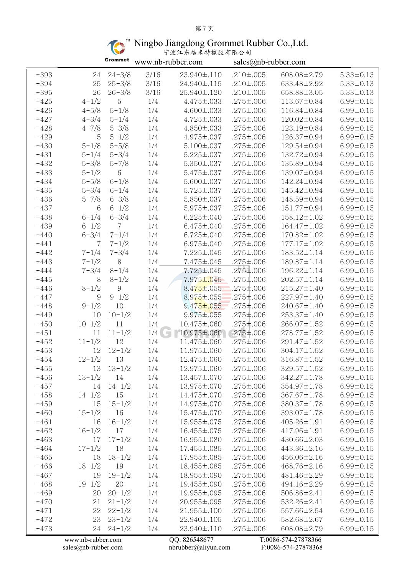# 第 7 页

Ningbo Jiangdong Grommet Rubber Co.,Ltd.

| 宁波江东格米特橡胶有限公司 |  |
|---------------|--|
|---------------|--|

|        |                   | Grommet    |        | www.nb-rubber.com |                 | sales@nb-rubber.com |                 |
|--------|-------------------|------------|--------|-------------------|-----------------|---------------------|-----------------|
| $-393$ | 24                | $24 - 3/8$ | 3/16   | 23.940±.110       | $.210 \pm .005$ | 608.08±2.79         | $5.33 \pm 0.13$ |
| $-394$ | 25                | $25 - 3/8$ | 3/16   | 24.940±.115       | $.210 \pm .005$ | 633.48±2.92         | $5.33 \pm 0.13$ |
| $-395$ | 26                | $26 - 3/8$ | $3/16$ | 25.940±.120       | $.210 \pm .005$ | 658.88±3.05         | $5.33 \pm 0.13$ |
| $-425$ | $4 - 1/2$         | 5          | 1/4    | $4.475 \pm .033$  | $.275 \pm .006$ | 113.67±0.84         | $6.99 \pm 0.15$ |
| $-426$ | $4 - 5/8$         | $5 - 1/8$  | 1/4    | $4.600 \pm .033$  | $.275 \pm .006$ | 116.84±0.84         | $6.99 \pm 0.15$ |
| $-427$ | $4 - 3/4$         | $5 - 1/4$  | 1/4    | $4.725 \pm .033$  | $.275 \pm .006$ | $120.02 \pm 0.84$   | $6.99 \pm 0.15$ |
| $-428$ | $4 - 7/8$         | $5 - 3/8$  | 1/4    | $4.850 \pm .033$  | $.275 \pm .006$ | 123.19±0.84         | $6.99 \pm 0.15$ |
| $-429$ | 5                 | $5 - 1/2$  | 1/4    | $4.975 \pm .037$  | $.275 \pm .006$ | 126.37±0.94         | $6.99 \pm 0.15$ |
| $-430$ | $5 - 1/8$         | $5 - 5/8$  | 1/4    | $5.100 \pm .037$  | $.275 \pm .006$ | 129.54±0.94         | $6.99 \pm 0.15$ |
| $-431$ | $5 - 1/4$         | $5 - 3/4$  | 1/4    | $5.225 \pm .037$  | $.275 \pm .006$ | 132.72±0.94         | $6.99 \pm 0.15$ |
| $-432$ | $5 - 3/8$         | $5 - 7/8$  | 1/4    | $5.350 \pm .037$  | $.275 \pm .006$ | 135.89±0.94         | $6.99 \pm 0.15$ |
| $-433$ | $5 - 1/2$         | 6          | 1/4    | $5.475 \pm .037$  | $.275 \pm .006$ | 139.07±0.94         | $6.99 \pm 0.15$ |
| $-434$ | $5 - 5/8$         | $6 - 1/8$  | 1/4    | $5.600 \pm .037$  | $.275 \pm .006$ | 142.24±0.94         | $6.99 \pm 0.15$ |
| $-435$ | $5 - 3/4$         | $6 - 1/4$  | 1/4    | $5.725 \pm .037$  | $.275 \pm .006$ | 145.42±0.94         | $6.99 \pm 0.15$ |
| $-436$ | $5 - 7/8$         | $6 - 3/8$  | 1/4    | $5.850 \pm .037$  | $.275 \pm .006$ | 148.59±0.94         | $6.99 \pm 0.15$ |
| $-437$ | 6                 | $6 - 1/2$  | 1/4    | $5.975 \pm .037$  | $.275 \pm .006$ | 151.77±0.94         | $6.99 \pm 0.15$ |
| $-438$ | $6 - 1/4$         | $6 - 3/4$  | 1/4    | $6.225 \pm .040$  | $.275 \pm .006$ | 158.12±1.02         | $6.99 \pm 0.15$ |
| $-439$ | $6 - 1/2$         | 7          | 1/4    | $6.475 \pm .040$  | $.275 \pm .006$ | $164.47 \pm 1.02$   | $6.99 \pm 0.15$ |
| $-440$ | $6 - 3/4$         | $7 - 1/4$  | 1/4    | $6.725 \pm .040$  | $.275 \pm .006$ | 170.82±1.02         | $6.99 \pm 0.15$ |
| $-441$ | 7                 | $7 - 1/2$  | 1/4    | $6.975 \pm .040$  | $.275 \pm .006$ | $177.17 \pm 1.02$   | $6.99 \pm 0.15$ |
| $-442$ | $7 - 1/4$         | $7 - 3/4$  | 1/4    | $7.225 \pm .045$  | $.275 \pm .006$ | 183.52±1.14         | $6.99 \pm 0.15$ |
| $-443$ | $7 - 1/2$         | $8\,$      | 1/4    | $7.475 \pm .045$  | $.275 \pm .006$ | 189.87±1.14         | $6.99 \pm 0.15$ |
| $-444$ | $7 - 3/4$         | $8 - 1/4$  | 1/4    | $7.725 \pm .045$  | .275±.006       | 196.22±1.14         | $6.99 \pm 0.15$ |
| $-445$ | 8                 | $8 - 1/2$  | 1/4    | $7.975 \pm 0.045$ | $.275 \pm .006$ | $202.57 \pm 1.14$   | $6.99 \pm 0.15$ |
| $-446$ | $8 - 1/2$         | 9          | 1/4    | $8.475 \pm .055$  | $.275 \pm .006$ | $215.27 \pm 1.40$   | $6.99 \pm 0.15$ |
| $-447$ | 9                 | $9 - 1/2$  | 1/4    | $8.975 \pm .055$  | $.275 \pm .006$ | $227.97 \pm 1.40$   | $6.99 \pm 0.15$ |
| $-448$ | $9 - 1/2$         | 10         | 1/4    | $9.475 \pm 0.055$ | $.275 \pm .006$ | 240.67±1.40         | $6.99 \pm 0.15$ |
| $-449$ | 10                | $10 - 1/2$ | 1/4    | $9.975 \pm .055$  | $.275 \pm .006$ | $253.37 \pm 1.40$   | $6.99 \pm 0.15$ |
| $-450$ | $10 - 1/2$        | 11         | 1/4    | 10.475±.060       | $.275 \pm .006$ | 266.07±1.52         | $6.99 \pm 0.15$ |
| $-451$ | 11                | $11 - 1/2$ | 1/4    | 10.975±.060       | $.275 \pm .006$ | $278.77 \pm 1.52$   | $6.99 \pm 0.15$ |
| $-452$ | $11 - 1/2$        | 12         | 1/4    | 11.475±.060       | $.275 \pm .006$ | 291.47±1.52         | $6.99 \pm 0.15$ |
| $-453$ | 12                | $12 - 1/2$ | 1/4    | 11.975±.060       | $.275 \pm .006$ | $304.17 \pm 1.52$   | $6.99 \pm 0.15$ |
| $-454$ | $12 - 1/2$        | 13         | 1/4    | 12.475±.060       | $.275 \pm .006$ | 316.87±1.52         | $6.99 \pm 0.15$ |
| $-455$ | 13                | $13 - 1/2$ | 1/4    | 12.975±.060       | $.275 \pm .006$ | 329.57±1.52         | $6.99 \pm 0.15$ |
| $-456$ | $13 - 1/2$        | 14         | 1/4    | 13.457±.070       | $.275 \pm .006$ | 342.27±1.78         | $6.99 \pm 0.15$ |
| $-457$ | 14                | $14 - 1/2$ | 1/4    | 13.975±.070       | $.275 \pm .006$ | 354.97±1.78         | $6.99 \pm 0.15$ |
| $-458$ | $14 - 1/2$        | 15         | 1/4    | 14.475±.070       | $.275 \pm .006$ | 367.67±1.78         | $6.99 \pm 0.15$ |
| $-459$ | 15                | $15 - 1/2$ | 1/4    | 14.975±.070       | $.275 \pm .006$ | 380.37±1.78         | $6.99 \pm 0.15$ |
| $-460$ | $15 - 1/2$        | 16         | 1/4    | 15.475±.070       | $.275 \pm .006$ | 393.07±1.78         | $6.99 \pm 0.15$ |
| $-461$ | 16                | $16 - 1/2$ | 1/4    | 15.955±.075       | $.275 \pm .006$ | 405.26±1.91         | $6.99 \pm 0.15$ |
| $-462$ | $16 - 1/2$        | 17         | 1/4    | 16.455±.075       | $.275 \pm .006$ | 417.96±1.91         | $6.99 \pm 0.15$ |
| $-463$ | 17                | $17 - 1/2$ | 1/4    | 16.955±.080       | $.275 \pm .006$ | 430.66±2.03         | $6.99 \pm 0.15$ |
| $-464$ | $17 - 1/2$        | 18         | 1/4    | 17.455±.085       | $.275 \pm .006$ | 443.36±2.16         | $6.99 \pm 0.15$ |
| $-465$ | 18                | $18 - 1/2$ | 1/4    | 17.955±.085       | $.275 \pm .006$ | 456.06±2.16         | $6.99 \pm 0.15$ |
| $-466$ | $18 - 1/2$        | 19         | 1/4    | 18.455±.085       | $.275 \pm .006$ | 468.76±2.16         | $6.99 \pm 0.15$ |
| $-467$ | 19                | $19 - 1/2$ | 1/4    | 18.955±.090       | $.275 \pm .006$ | 481.46±2.29         | $6.99 \pm 0.15$ |
| $-468$ | $19 - 1/2$        | 20         | 1/4    | 19.455±.090       | $.275 \pm .006$ | 494.16±2.29         | $6.99 \pm 0.15$ |
| $-469$ | 20                | $20 - 1/2$ | 1/4    | 19.955±.095       | $.275 \pm .006$ | 506.86±2.41         | $6.99 \pm 0.15$ |
|        | 21                | $21 - 1/2$ | 1/4    | 20.955±.095       | $.275 \pm .006$ | 532.26±2.41         |                 |
| $-470$ |                   | $22 - 1/2$ |        |                   |                 |                     | $6.99 \pm 0.15$ |
| $-471$ | 22                |            | 1/4    | 21.955±.100       | $.275 \pm .006$ | 557.66±2.54         | $6.99 \pm 0.15$ |
| $-472$ | 23                | $23 - 1/2$ | 1/4    | 22.940±.105       | $.275 \pm .006$ | 582.68±2.67         | $6.99 \pm 0.15$ |
| $-473$ | 24                | $24 - 1/2$ | 1/4    | 23.940±.110       | $.275 \pm .006$ | 608.08±2.79         | $6.99 \pm 0.15$ |
|        | www.nb-rubber.com |            |        | QQ: 826548677     |                 | T:0086-574-27878366 |                 |

[sales@nb-rubber.com](mailto:sales@nb-rubber.com) [nbrubber@aliyun.com](mailto:nbrubber@gmail.com) F:0086-574-27878368